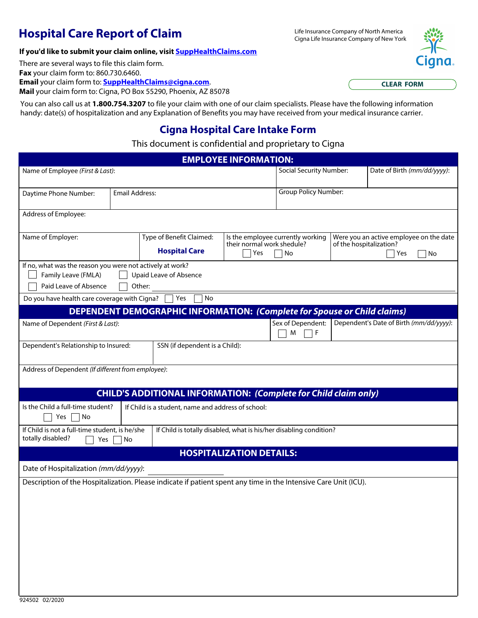# **Hospital Care Report of Claim** Elite Insurance Company of North America

Cigna Life Insurance Company of New York

### **If you'd like to submit your claim online, visit [SuppHealthClaims.com](https://www.cigna.com/individuals-families/member-resources/supplemental-health-claim-form)**

There are several ways to file this claim form.

**Fax** your claim form to: 860.730.6460.

**Email** your claim form to: **[SuppHealthClaims@cigna.com](mailto:SuppHealthClaims@cigna.com)**.

## **Cigna Hospital Care Intake Form**

### This document is confidential and proprietary to Cigna

| <b>Email</b> your claim form to: <b>SuppHealthClaims@cigna.com</b> .<br>Mail your claim form to: Cigna, PO Box 55290, Phoenix, AZ 85078 |                                                                                                                            |                                                                                 |                                   |                                |                                         | <b>CLEAR FORM</b>                       |  |
|-----------------------------------------------------------------------------------------------------------------------------------------|----------------------------------------------------------------------------------------------------------------------------|---------------------------------------------------------------------------------|-----------------------------------|--------------------------------|-----------------------------------------|-----------------------------------------|--|
| You can also call us at 1.800.754.3207 to file your claim with one of our claim specialists. Please have the following information      |                                                                                                                            |                                                                                 |                                   |                                |                                         |                                         |  |
| handy: date(s) of hospitalization and any Explanation of Benefits you may have received from your medical insurance carrier.            |                                                                                                                            |                                                                                 |                                   |                                |                                         |                                         |  |
|                                                                                                                                         |                                                                                                                            | <b>Cigna Hospital Care Intake Form</b>                                          |                                   |                                |                                         |                                         |  |
|                                                                                                                                         |                                                                                                                            | This document is confidential and proprietary to Cigna                          |                                   |                                |                                         |                                         |  |
| Name of Employee (First & Last):                                                                                                        |                                                                                                                            |                                                                                 | <b>EMPLOYEE INFORMATION:</b>      | <b>Social Security Number:</b> |                                         | Date of Birth (mm/dd/yyyy):             |  |
|                                                                                                                                         |                                                                                                                            |                                                                                 |                                   |                                |                                         |                                         |  |
| Daytime Phone Number:                                                                                                                   | <b>Email Address:</b>                                                                                                      |                                                                                 |                                   | <b>Group Policy Number:</b>    |                                         |                                         |  |
| Address of Employee:                                                                                                                    |                                                                                                                            |                                                                                 |                                   |                                |                                         |                                         |  |
| Name of Employer:                                                                                                                       |                                                                                                                            | Type of Benefit Claimed:                                                        | Is the employee currently working |                                |                                         | Were you an active employee on the date |  |
|                                                                                                                                         |                                                                                                                            | <b>Hospital Care</b>                                                            | their normal work shedule?<br>Yes | No                             | of the hospitalization?<br>Yes<br>No    |                                         |  |
| If no, what was the reason you were not actively at work?<br>Family Leave (FMLA)                                                        |                                                                                                                            | <b>Upaid Leave of Absence</b>                                                   |                                   |                                |                                         |                                         |  |
| Paid Leave of Absence                                                                                                                   | Other:                                                                                                                     |                                                                                 |                                   |                                |                                         |                                         |  |
| Do you have health care coverage with Cigna?                                                                                            |                                                                                                                            | Yes<br>No                                                                       |                                   |                                |                                         |                                         |  |
|                                                                                                                                         |                                                                                                                            | <b>DEPENDENT DEMOGRAPHIC INFORMATION: (Complete for Spouse or Child claims)</b> |                                   |                                |                                         |                                         |  |
| Name of Dependent (First & Last):                                                                                                       |                                                                                                                            |                                                                                 |                                   | Sex of Dependent:<br>F<br>M    | Dependent's Date of Birth (mm/dd/yyyy): |                                         |  |
| SSN (if dependent is a Child):<br>Dependent's Relationship to Insured:                                                                  |                                                                                                                            |                                                                                 |                                   |                                |                                         |                                         |  |
| Address of Dependent (If different from employee):                                                                                      |                                                                                                                            |                                                                                 |                                   |                                |                                         |                                         |  |
|                                                                                                                                         |                                                                                                                            | <b>CHILD'S ADDITIONAL INFORMATION: (Complete for Child claim only)</b>          |                                   |                                |                                         |                                         |  |
| Is the Child a full-time student?                                                                                                       |                                                                                                                            | If Child is a student, name and address of school:                              |                                   |                                |                                         |                                         |  |
| Yes<br>No                                                                                                                               |                                                                                                                            |                                                                                 |                                   |                                |                                         |                                         |  |
| totally disabled?<br>Yes                                                                                                                | If Child is not a full-time student, is he/she<br>If Child is totally disabled, what is his/her disabling condition?<br>No |                                                                                 |                                   |                                |                                         |                                         |  |
|                                                                                                                                         |                                                                                                                            |                                                                                 | <b>HOSPITALIZATION DETAILS:</b>   |                                |                                         |                                         |  |
| Date of Hospitalization (mm/dd/yyyy):                                                                                                   |                                                                                                                            |                                                                                 |                                   |                                |                                         |                                         |  |
| Description of the Hospitalization. Please indicate if patient spent any time in the Intensive Care Unit (ICU).                         |                                                                                                                            |                                                                                 |                                   |                                |                                         |                                         |  |
|                                                                                                                                         |                                                                                                                            |                                                                                 |                                   |                                |                                         |                                         |  |
|                                                                                                                                         |                                                                                                                            |                                                                                 |                                   |                                |                                         |                                         |  |
|                                                                                                                                         |                                                                                                                            |                                                                                 |                                   |                                |                                         |                                         |  |
|                                                                                                                                         |                                                                                                                            |                                                                                 |                                   |                                |                                         |                                         |  |
|                                                                                                                                         |                                                                                                                            |                                                                                 |                                   |                                |                                         |                                         |  |
|                                                                                                                                         |                                                                                                                            |                                                                                 |                                   |                                |                                         |                                         |  |
|                                                                                                                                         |                                                                                                                            |                                                                                 |                                   |                                |                                         |                                         |  |
|                                                                                                                                         |                                                                                                                            |                                                                                 |                                   |                                |                                         |                                         |  |

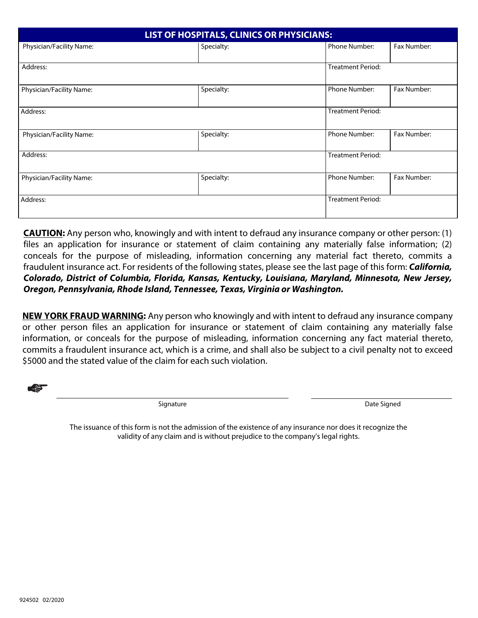| LIST OF HOSPITALS, CLINICS OR PHYSICIANS: |            |                          |             |  |  |  |  |
|-------------------------------------------|------------|--------------------------|-------------|--|--|--|--|
| Physician/Facility Name:                  | Specialty: | Phone Number:            | Fax Number: |  |  |  |  |
| Address:                                  |            | <b>Treatment Period:</b> |             |  |  |  |  |
| Physician/Facility Name:                  | Specialty: | Phone Number:            | Fax Number: |  |  |  |  |
| Address:                                  |            | <b>Treatment Period:</b> |             |  |  |  |  |
| Physician/Facility Name:                  | Specialty: | Phone Number:            | Fax Number: |  |  |  |  |
| Address:                                  |            | <b>Treatment Period:</b> |             |  |  |  |  |
| Physician/Facility Name:                  | Specialty: | Phone Number:            | Fax Number: |  |  |  |  |
| Address:                                  |            | <b>Treatment Period:</b> |             |  |  |  |  |

**CAUTION:** Any person who, knowingly and with intent to defraud any insurance company or other person: (1) files an application for insurance or statement of claim containing any materially false information; (2) conceals for the purpose of misleading, information concerning any material fact thereto, commits a fraudulent insurance act. For residents of the following states, please see the last page of this form: *California, Colorado, District of Columbia, Florida, Kansas, Kentucky, Louisiana, Maryland, Minnesota, New Jersey, Oregon, Pennsylvania, Rhode Island, Tennessee, Texas, Virginia or Washington.*

**NEW YORK FRAUD WARNING:** Any person who knowingly and with intent to defraud any insurance company or other person files an application for insurance or statement of claim containing any materially false information, or conceals for the purpose of misleading, information concerning any fact material thereto, commits a fraudulent insurance act, which is a crime, and shall also be subject to a civil penalty not to exceed \$5000 and the stated value of the claim for each such violation.

☛

Signature

Date Signed

The issuance of this form is not the admission of the existence of any insurance nor does it recognize the validity of any claim and is without prejudice to the company's legal rights.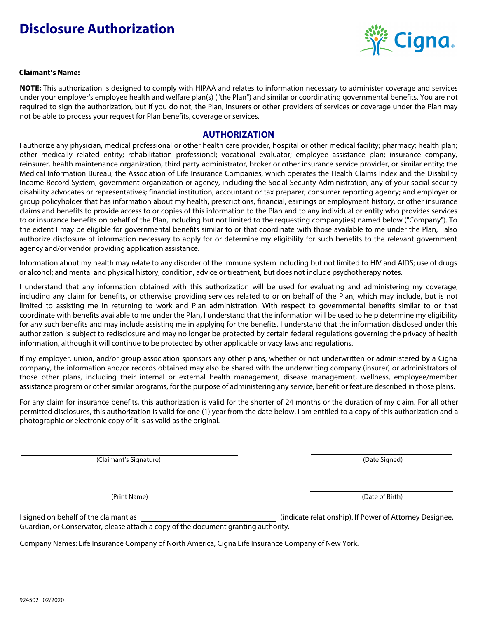# **Disclosure Authorization**



#### **Claimant's Name:**

**NOTE:** This authorization is designed to comply with HIPAA and relates to information necessary to administer coverage and services under your employer's employee health and welfare plan(s) ("the Plan") and similar or coordinating governmental benefits. You are not required to sign the authorization, but if you do not, the Plan, insurers or other providers of services or coverage under the Plan may not be able to process your request for Plan benefits, coverage or services.

#### **AUTHORIZATION**

I authorize any physician, medical professional or other health care provider, hospital or other medical facility; pharmacy; health plan; other medically related entity; rehabilitation professional; vocational evaluator; employee assistance plan; insurance company, reinsurer, health maintenance organization, third party administrator, broker or other insurance service provider, or similar entity; the Medical Information Bureau; the Association of Life Insurance Companies, which operates the Health Claims Index and the Disability Income Record System; government organization or agency, including the Social Security Administration; any of your social security disability advocates or representatives; financial institution, accountant or tax preparer; consumer reporting agency; and employer or group policyholder that has information about my health, prescriptions, financial, earnings or employment history, or other insurance claims and benefits to provide access to or copies of this information to the Plan and to any individual or entity who provides services to or insurance benefits on behalf of the Plan, including but not limited to the requesting company(ies) named below ("Company"). To the extent I may be eligible for governmental benefits similar to or that coordinate with those available to me under the Plan, I also authorize disclosure of information necessary to apply for or determine my eligibility for such benefits to the relevant government agency and/or vendor providing application assistance.

Information about my health may relate to any disorder of the immune system including but not limited to HIV and AIDS; use of drugs or alcohol; and mental and physical history, condition, advice or treatment, but does not include psychotherapy notes.

I understand that any information obtained with this authorization will be used for evaluating and administering my coverage, including any claim for benefits, or otherwise providing services related to or on behalf of the Plan, which may include, but is not limited to assisting me in returning to work and Plan administration. With respect to governmental benefits similar to or that coordinate with benefits available to me under the Plan, I understand that the information will be used to help determine my eligibility for any such benefits and may include assisting me in applying for the benefits. I understand that the information disclosed under this authorization is subject to redisclosure and may no longer be protected by certain federal regulations governing the privacy of health information, although it will continue to be protected by other applicable privacy laws and regulations.

If my employer, union, and/or group association sponsors any other plans, whether or not underwritten or administered by a Cigna company, the information and/or records obtained may also be shared with the underwriting company (insurer) or administrators of those other plans, including their internal or external health management, disease management, wellness, employee/member assistance program or other similar programs, for the purpose of administering any service, benefit or feature described in those plans.

For any claim for insurance benefits, this authorization is valid for the shorter of 24 months or the duration of my claim. For all other permitted disclosures, this authorization is valid for one (1) year from the date below. I am entitled to a copy of this authorization and a photographic or electronic copy of it is as valid as the original.

(Claimant's Signature) (Date Signed)

(Print Name) (Date of Birth)

Guardian, or Conservator, please attach a copy of the document granting authority. I signed on behalf of the claimant as (indicate relationship). If Power of Attorney Designee,

Company Names: Life Insurance Company of North America, Cigna Life Insurance Company of New York.